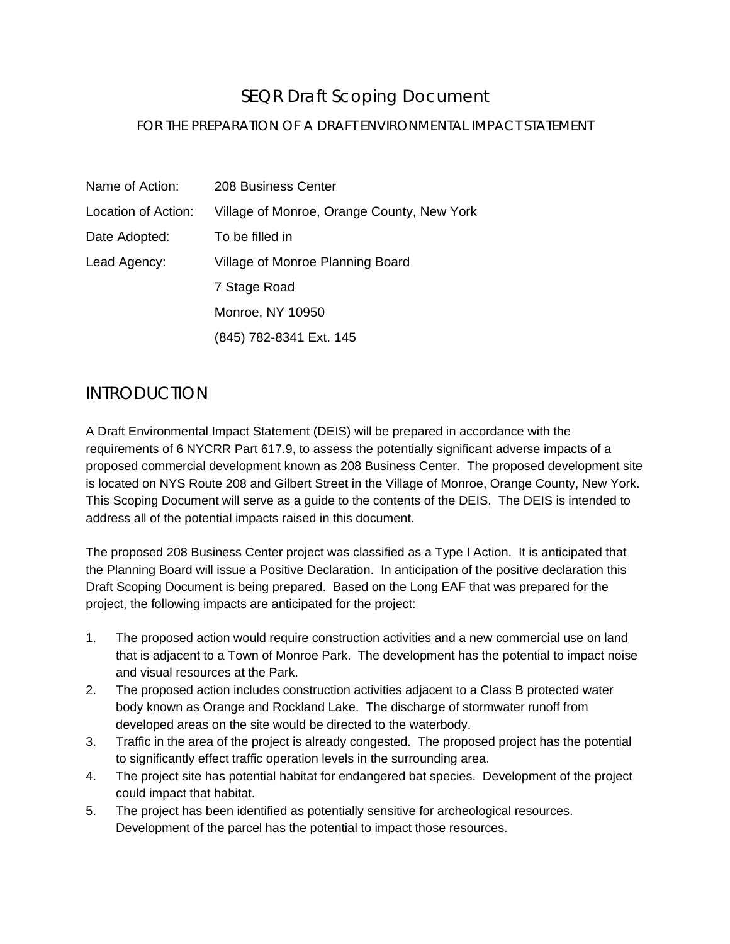# SEQR Draft Scoping Document

### FOR THE PREPARATION OF A DRAFT ENVIRONMENTAL IMPACT STATEMENT

| Name of Action:     | 208 Business Center                        |
|---------------------|--------------------------------------------|
| Location of Action: | Village of Monroe, Orange County, New York |
| Date Adopted:       | To be filled in                            |
| Lead Agency:        | Village of Monroe Planning Board           |
|                     | 7 Stage Road                               |
|                     | Monroe, NY 10950                           |
|                     | (845) 782-8341 Ext. 145                    |

# INTRODUCTION

A Draft Environmental Impact Statement (DEIS) will be prepared in accordance with the requirements of 6 NYCRR Part 617.9, to assess the potentially significant adverse impacts of a proposed commercial development known as 208 Business Center. The proposed development site is located on NYS Route 208 and Gilbert Street in the Village of Monroe, Orange County, New York. This Scoping Document will serve as a guide to the contents of the DEIS. The DEIS is intended to address all of the potential impacts raised in this document.

The proposed 208 Business Center project was classified as a Type I Action. It is anticipated that the Planning Board will issue a Positive Declaration. In anticipation of the positive declaration this Draft Scoping Document is being prepared. Based on the Long EAF that was prepared for the project, the following impacts are anticipated for the project:

- 1. The proposed action would require construction activities and a new commercial use on land that is adjacent to a Town of Monroe Park. The development has the potential to impact noise and visual resources at the Park.
- 2. The proposed action includes construction activities adjacent to a Class B protected water body known as Orange and Rockland Lake. The discharge of stormwater runoff from developed areas on the site would be directed to the waterbody.
- 3. Traffic in the area of the project is already congested. The proposed project has the potential to significantly effect traffic operation levels in the surrounding area.
- 4. The project site has potential habitat for endangered bat species. Development of the project could impact that habitat.
- 5. The project has been identified as potentially sensitive for archeological resources. Development of the parcel has the potential to impact those resources.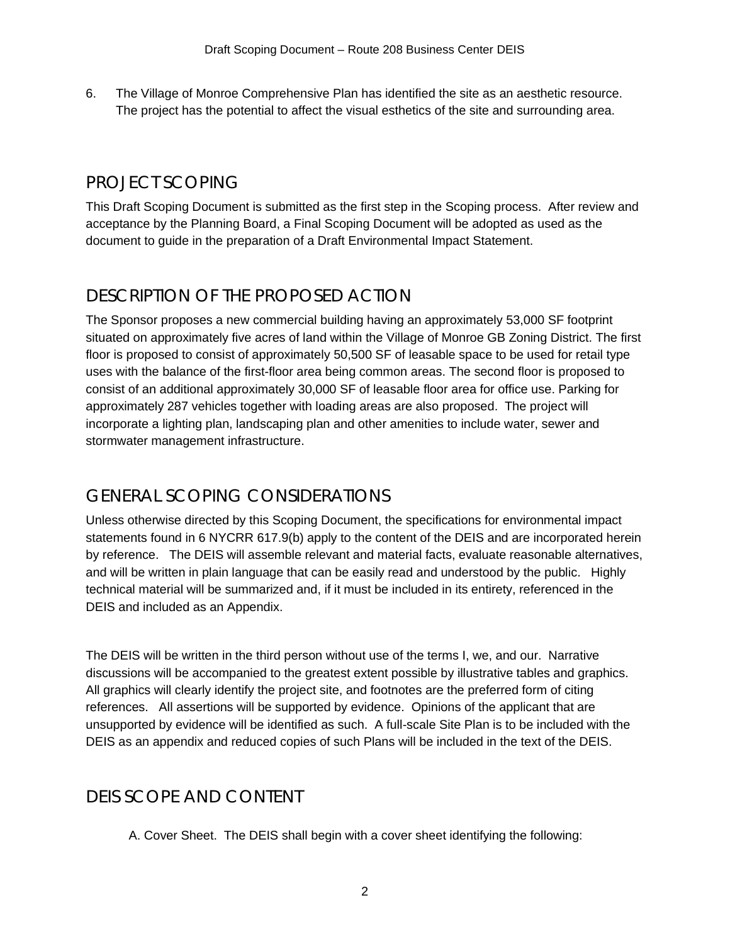6. The Village of Monroe Comprehensive Plan has identified the site as an aesthetic resource. The project has the potential to affect the visual esthetics of the site and surrounding area.

# PROJECT SCOPING

This Draft Scoping Document is submitted as the first step in the Scoping process. After review and acceptance by the Planning Board, a Final Scoping Document will be adopted as used as the document to guide in the preparation of a Draft Environmental Impact Statement.

# DESCRIPTION OF THE PROPOSED ACTION

The Sponsor proposes a new commercial building having an approximately 53,000 SF footprint situated on approximately five acres of land within the Village of Monroe GB Zoning District. The first floor is proposed to consist of approximately 50,500 SF of leasable space to be used for retail type uses with the balance of the first-floor area being common areas. The second floor is proposed to consist of an additional approximately 30,000 SF of leasable floor area for office use. Parking for approximately 287 vehicles together with loading areas are also proposed. The project will incorporate a lighting plan, landscaping plan and other amenities to include water, sewer and stormwater management infrastructure.

# GENERAL SCOPING CONSIDERATIONS

Unless otherwise directed by this Scoping Document, the specifications for environmental impact statements found in 6 NYCRR 617.9(b) apply to the content of the DEIS and are incorporated herein by reference. The DEIS will assemble relevant and material facts, evaluate reasonable alternatives, and will be written in plain language that can be easily read and understood by the public. Highly technical material will be summarized and, if it must be included in its entirety, referenced in the DEIS and included as an Appendix.

The DEIS will be written in the third person without use of the terms I, we, and our. Narrative discussions will be accompanied to the greatest extent possible by illustrative tables and graphics. All graphics will clearly identify the project site, and footnotes are the preferred form of citing references. All assertions will be supported by evidence. Opinions of the applicant that are unsupported by evidence will be identified as such. A full-scale Site Plan is to be included with the DEIS as an appendix and reduced copies of such Plans will be included in the text of the DEIS.

# DEIS SCOPE AND CONTENT

A. Cover Sheet. The DEIS shall begin with a cover sheet identifying the following: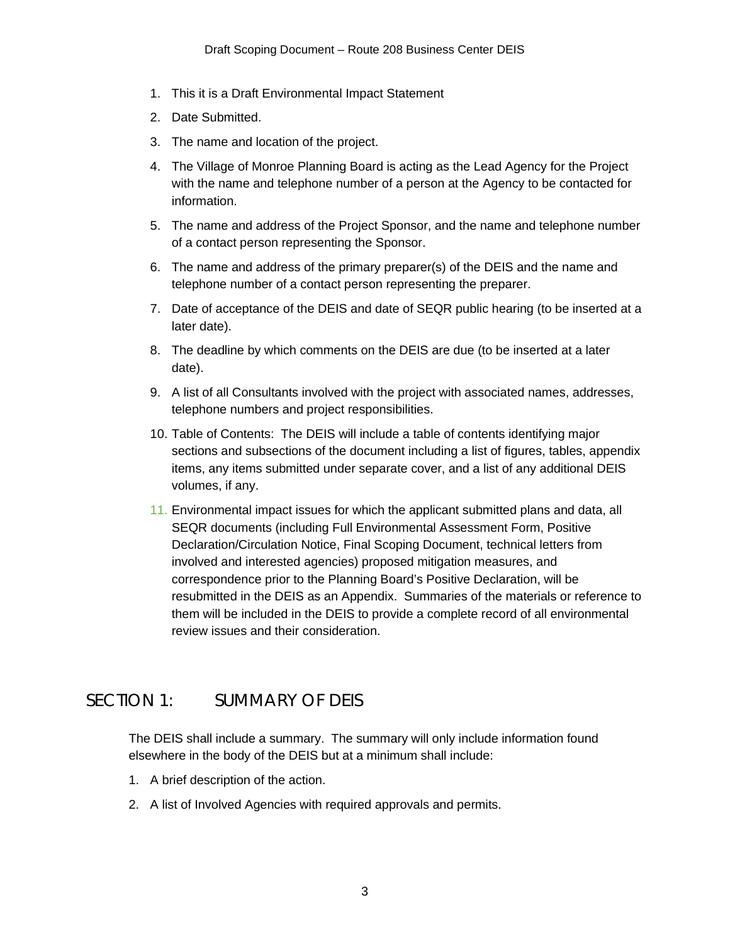- 1. This it is a Draft Environmental Impact Statement
- 2. Date Submitted.
- 3. The name and location of the project.
- 4. The Village of Monroe Planning Board is acting as the Lead Agency for the Project with the name and telephone number of a person at the Agency to be contacted for information.
- 5. The name and address of the Project Sponsor, and the name and telephone number of a contact person representing the Sponsor.
- 6. The name and address of the primary preparer(s) of the DEIS and the name and telephone number of a contact person representing the preparer.
- 7. Date of acceptance of the DEIS and date of SEQR public hearing (to be inserted at a later date).
- 8. The deadline by which comments on the DEIS are due (to be inserted at a later date).
- 9. A list of all Consultants involved with the project with associated names, addresses, telephone numbers and project responsibilities.
- 10. Table of Contents: The DEIS will include a table of contents identifying major sections and subsections of the document including a list of figures, tables, appendix items, any items submitted under separate cover, and a list of any additional DEIS volumes, if any.
- 11. Environmental impact issues for which the applicant submitted plans and data, all SEQR documents (including Full Environmental Assessment Form, Positive Declaration/Circulation Notice, Final Scoping Document, technical letters from involved and interested agencies) proposed mitigation measures, and correspondence prior to the Planning Board's Positive Declaration, will be resubmitted in the DEIS as an Appendix. Summaries of the materials or reference to them will be included in the DEIS to provide a complete record of all environmental review issues and their consideration.

# SECTION 1: SUMMARY OF DEIS

The DEIS shall include a summary. The summary will only include information found elsewhere in the body of the DEIS but at a minimum shall include:

- 1. A brief description of the action.
- 2. A list of Involved Agencies with required approvals and permits.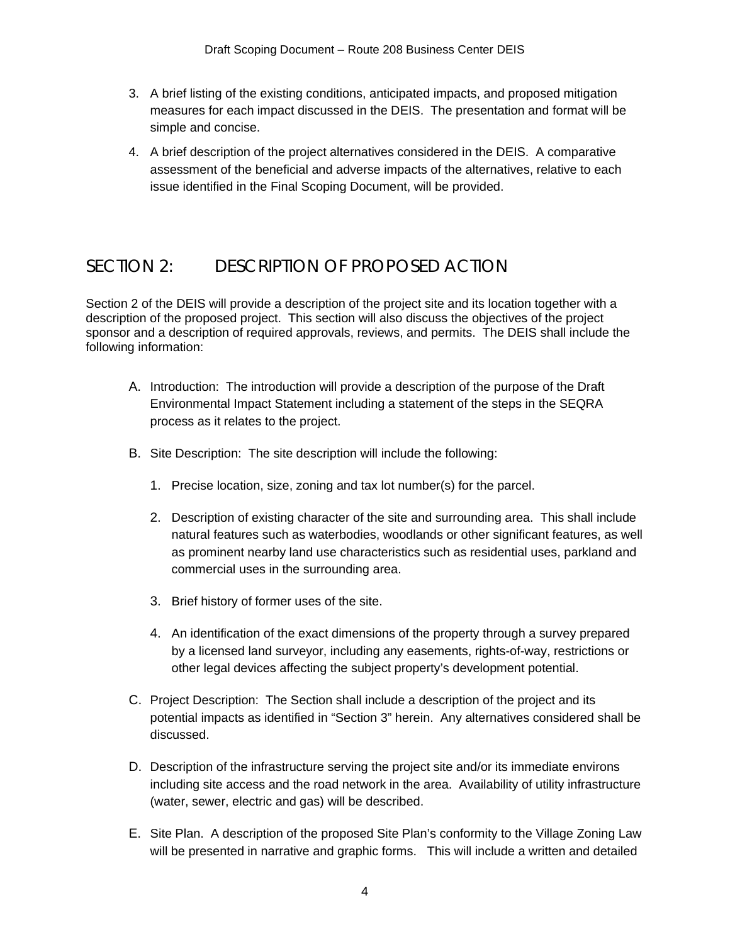- 3. A brief listing of the existing conditions, anticipated impacts, and proposed mitigation measures for each impact discussed in the DEIS. The presentation and format will be simple and concise.
- 4. A brief description of the project alternatives considered in the DEIS. A comparative assessment of the beneficial and adverse impacts of the alternatives, relative to each issue identified in the Final Scoping Document, will be provided.

# SECTION 2: DESCRIPTION OF PROPOSED ACTION

Section 2 of the DEIS will provide a description of the project site and its location together with a description of the proposed project. This section will also discuss the objectives of the project sponsor and a description of required approvals, reviews, and permits. The DEIS shall include the following information:

- A. Introduction: The introduction will provide a description of the purpose of the Draft Environmental Impact Statement including a statement of the steps in the SEQRA process as it relates to the project.
- B. Site Description: The site description will include the following:
	- 1. Precise location, size, zoning and tax lot number(s) for the parcel.
	- 2. Description of existing character of the site and surrounding area. This shall include natural features such as waterbodies, woodlands or other significant features, as well as prominent nearby land use characteristics such as residential uses, parkland and commercial uses in the surrounding area.
	- 3. Brief history of former uses of the site.
	- 4. An identification of the exact dimensions of the property through a survey prepared by a licensed land surveyor, including any easements, rights-of-way, restrictions or other legal devices affecting the subject property's development potential.
- C. Project Description: The Section shall include a description of the project and its potential impacts as identified in "Section 3" herein. Any alternatives considered shall be discussed.
- D. Description of the infrastructure serving the project site and/or its immediate environs including site access and the road network in the area. Availability of utility infrastructure (water, sewer, electric and gas) will be described.
- E. Site Plan. A description of the proposed Site Plan's conformity to the Village Zoning Law will be presented in narrative and graphic forms. This will include a written and detailed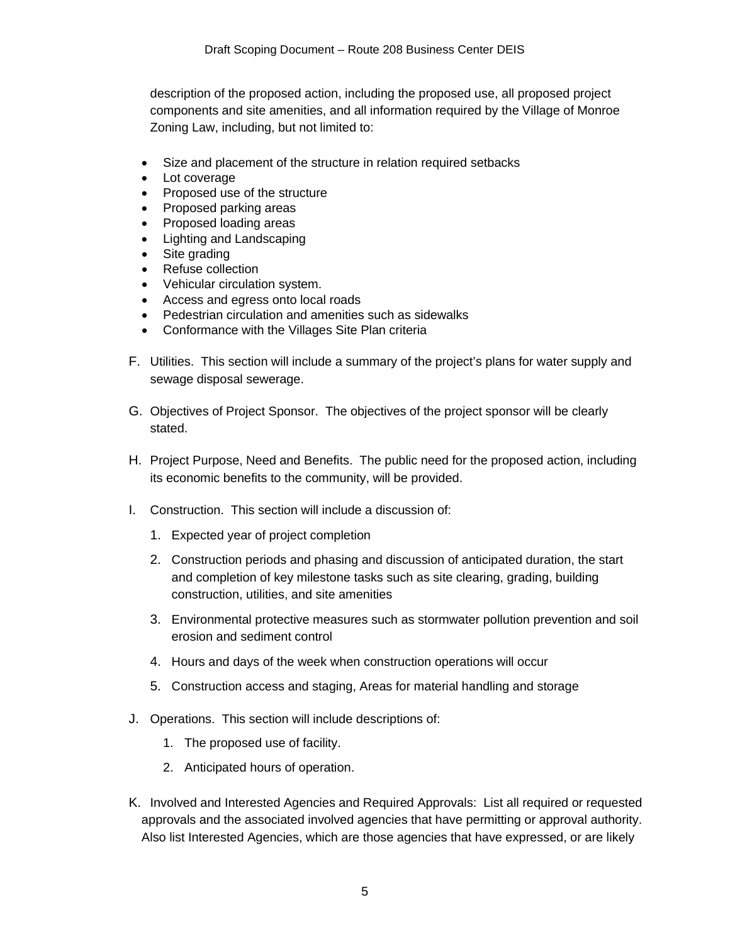description of the proposed action, including the proposed use, all proposed project components and site amenities, and all information required by the Village of Monroe Zoning Law, including, but not limited to:

- Size and placement of the structure in relation required setbacks
- Lot coverage
- Proposed use of the structure
- Proposed parking areas
- Proposed loading areas
- Lighting and Landscaping
- Site grading
- Refuse collection
- Vehicular circulation system.
- Access and egress onto local roads
- Pedestrian circulation and amenities such as sidewalks
- Conformance with the Villages Site Plan criteria
- F. Utilities. This section will include a summary of the project's plans for water supply and sewage disposal sewerage.
- G. Objectives of Project Sponsor. The objectives of the project sponsor will be clearly stated.
- H. Project Purpose, Need and Benefits. The public need for the proposed action, including its economic benefits to the community, will be provided.
- I. Construction. This section will include a discussion of:
	- 1. Expected year of project completion
	- 2. Construction periods and phasing and discussion of anticipated duration, the start and completion of key milestone tasks such as site clearing, grading, building construction, utilities, and site amenities
	- 3. Environmental protective measures such as stormwater pollution prevention and soil erosion and sediment control
	- 4. Hours and days of the week when construction operations will occur
	- 5. Construction access and staging, Areas for material handling and storage
- J. Operations. This section will include descriptions of:
	- 1. The proposed use of facility.
	- 2. Anticipated hours of operation.
- K. Involved and Interested Agencies and Required Approvals: List all required or requested approvals and the associated involved agencies that have permitting or approval authority. Also list Interested Agencies, which are those agencies that have expressed, or are likely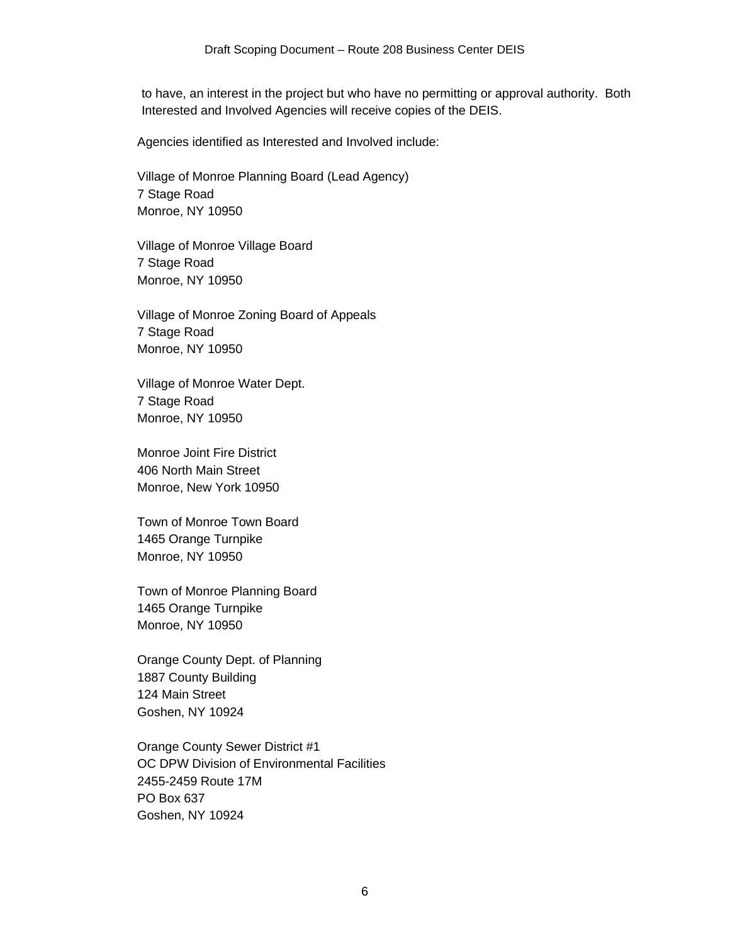to have, an interest in the project but who have no permitting or approval authority. Both Interested and Involved Agencies will receive copies of the DEIS.

Agencies identified as Interested and Involved include:

Village of Monroe Planning Board (Lead Agency) 7 Stage Road Monroe, NY 10950

Village of Monroe Village Board 7 Stage Road Monroe, NY 10950

Village of Monroe Zoning Board of Appeals 7 Stage Road Monroe, NY 10950

Village of Monroe Water Dept. 7 Stage Road Monroe, NY 10950

Monroe Joint Fire District 406 North Main Street Monroe, New York 10950

Town of Monroe Town Board 1465 Orange Turnpike Monroe, NY 10950

Town of Monroe Planning Board 1465 Orange Turnpike Monroe, NY 10950

Orange County Dept. of Planning 1887 County Building 124 Main Street Goshen, NY 10924

Orange County Sewer District #1 OC DPW Division of Environmental Facilities 2455-2459 Route 17M PO Box 637 Goshen, NY 10924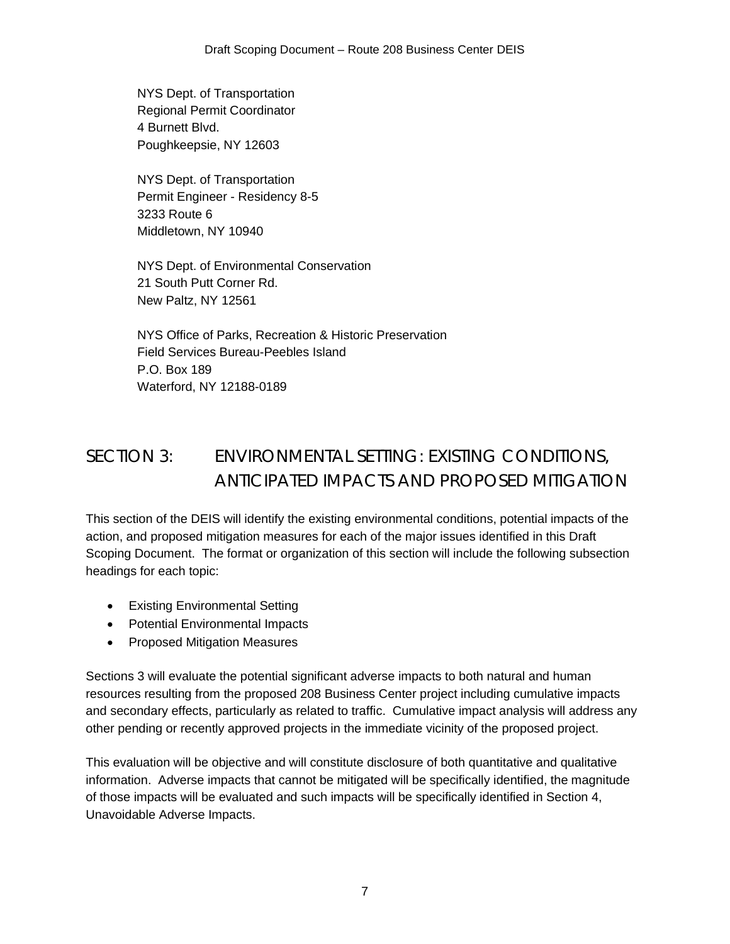NYS Dept. of Transportation Regional Permit Coordinator 4 Burnett Blvd. Poughkeepsie, NY 12603

NYS Dept. of Transportation Permit Engineer - Residency 8-5 3233 Route 6 Middletown, NY 10940

NYS Dept. of Environmental Conservation 21 South Putt Corner Rd. New Paltz, NY 12561

NYS Office of Parks, Recreation & Historic Preservation Field Services Bureau-Peebles Island P.O. Box 189 Waterford, NY 12188-0189

# SECTION 3: ENVIRONMENTAL SETTING: EXISTING CONDITIONS, ANTICIPATED IMPACTS AND PROPOSED MITIGATION

This section of the DEIS will identify the existing environmental conditions, potential impacts of the action, and proposed mitigation measures for each of the major issues identified in this Draft Scoping Document. The format or organization of this section will include the following subsection headings for each topic:

- Existing Environmental Setting
- Potential Environmental Impacts
- Proposed Mitigation Measures

Sections 3 will evaluate the potential significant adverse impacts to both natural and human resources resulting from the proposed 208 Business Center project including cumulative impacts and secondary effects, particularly as related to traffic. Cumulative impact analysis will address any other pending or recently approved projects in the immediate vicinity of the proposed project.

This evaluation will be objective and will constitute disclosure of both quantitative and qualitative information. Adverse impacts that cannot be mitigated will be specifically identified, the magnitude of those impacts will be evaluated and such impacts will be specifically identified in Section 4, Unavoidable Adverse Impacts.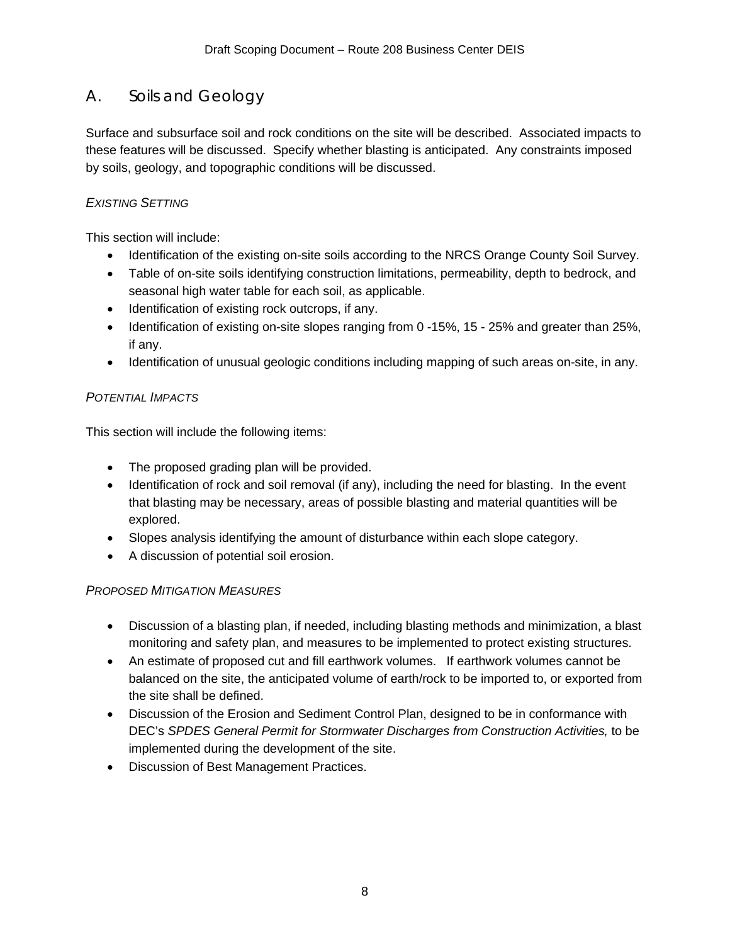# A. Soils and Geology

Surface and subsurface soil and rock conditions on the site will be described. Associated impacts to these features will be discussed. Specify whether blasting is anticipated. Any constraints imposed by soils, geology, and topographic conditions will be discussed.

### *EXISTING SETTING*

This section will include:

- Identification of the existing on-site soils according to the NRCS Orange County Soil Survey.
- Table of on-site soils identifying construction limitations, permeability, depth to bedrock, and seasonal high water table for each soil, as applicable.
- Identification of existing rock outcrops, if any.
- Identification of existing on-site slopes ranging from 0 -15%, 15 25% and greater than 25%, if any.
- Identification of unusual geologic conditions including mapping of such areas on-site, in any.

## *POTENTIAL IMPACTS*

This section will include the following items:

- The proposed grading plan will be provided.
- Identification of rock and soil removal (if any), including the need for blasting. In the event that blasting may be necessary, areas of possible blasting and material quantities will be explored.
- Slopes analysis identifying the amount of disturbance within each slope category.
- A discussion of potential soil erosion.

### *PROPOSED MITIGATION MEASURES*

- Discussion of a blasting plan, if needed, including blasting methods and minimization, a blast monitoring and safety plan, and measures to be implemented to protect existing structures.
- An estimate of proposed cut and fill earthwork volumes. If earthwork volumes cannot be balanced on the site, the anticipated volume of earth/rock to be imported to, or exported from the site shall be defined.
- Discussion of the Erosion and Sediment Control Plan, designed to be in conformance with DEC's *SPDES General Permit for Stormwater Discharges from Construction Activities,* to be implemented during the development of the site.
- Discussion of Best Management Practices.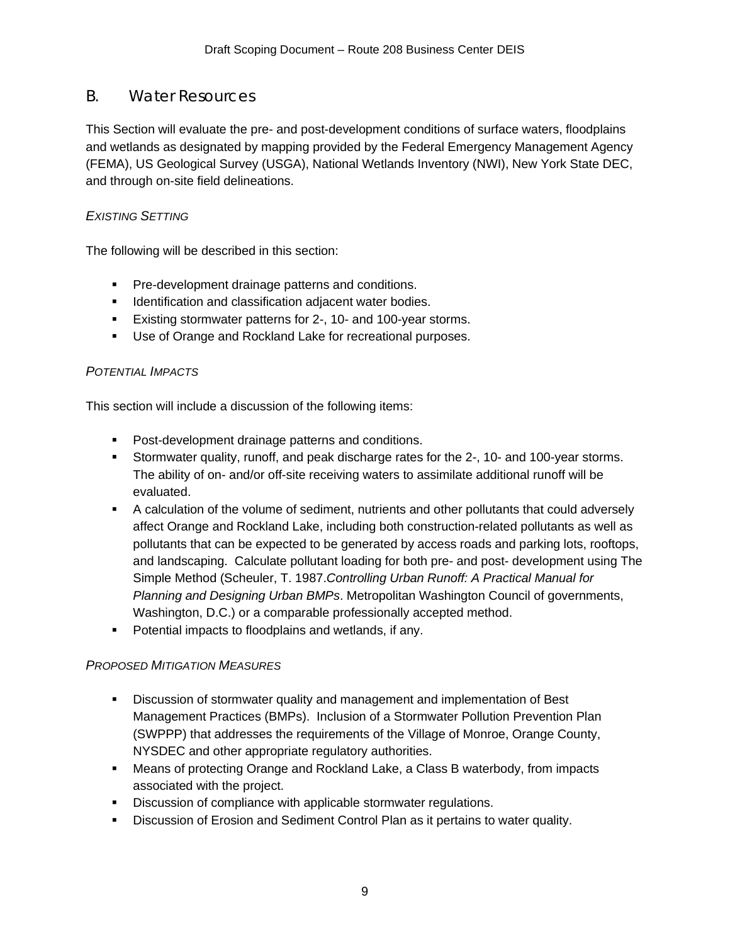## B. Water Resources

This Section will evaluate the pre- and post-development conditions of surface waters, floodplains and wetlands as designated by mapping provided by the Federal Emergency Management Agency (FEMA), US Geological Survey (USGA), National Wetlands Inventory (NWI), New York State DEC, and through on-site field delineations.

#### *EXISTING SETTING*

The following will be described in this section:

- **Pre-development drainage patterns and conditions.**
- **Identification and classification adjacent water bodies.**
- Existing stormwater patterns for 2-, 10- and 100-year storms.
- Use of Orange and Rockland Lake for recreational purposes.

#### *POTENTIAL IMPACTS*

This section will include a discussion of the following items:

- **Post-development drainage patterns and conditions.**
- Stormwater quality, runoff, and peak discharge rates for the 2-, 10- and 100-year storms. The ability of on- and/or off-site receiving waters to assimilate additional runoff will be evaluated.
- A calculation of the volume of sediment, nutrients and other pollutants that could adversely affect Orange and Rockland Lake, including both construction-related pollutants as well as pollutants that can be expected to be generated by access roads and parking lots, rooftops, and landscaping. Calculate pollutant loading for both pre- and post- development using The Simple Method (Scheuler, T. 1987.*Controlling Urban Runoff: A Practical Manual for Planning and Designing Urban BMPs*. Metropolitan Washington Council of governments, Washington, D.C.) or a comparable professionally accepted method.
- **Potential impacts to floodplains and wetlands, if any.**

### *PROPOSED MITIGATION MEASURES*

- Discussion of stormwater quality and management and implementation of Best Management Practices (BMPs). Inclusion of a Stormwater Pollution Prevention Plan (SWPPP) that addresses the requirements of the Village of Monroe, Orange County, NYSDEC and other appropriate regulatory authorities.
- Means of protecting Orange and Rockland Lake, a Class B waterbody, from impacts associated with the project.
- Discussion of compliance with applicable stormwater regulations.
- **Discussion of Erosion and Sediment Control Plan as it pertains to water quality.**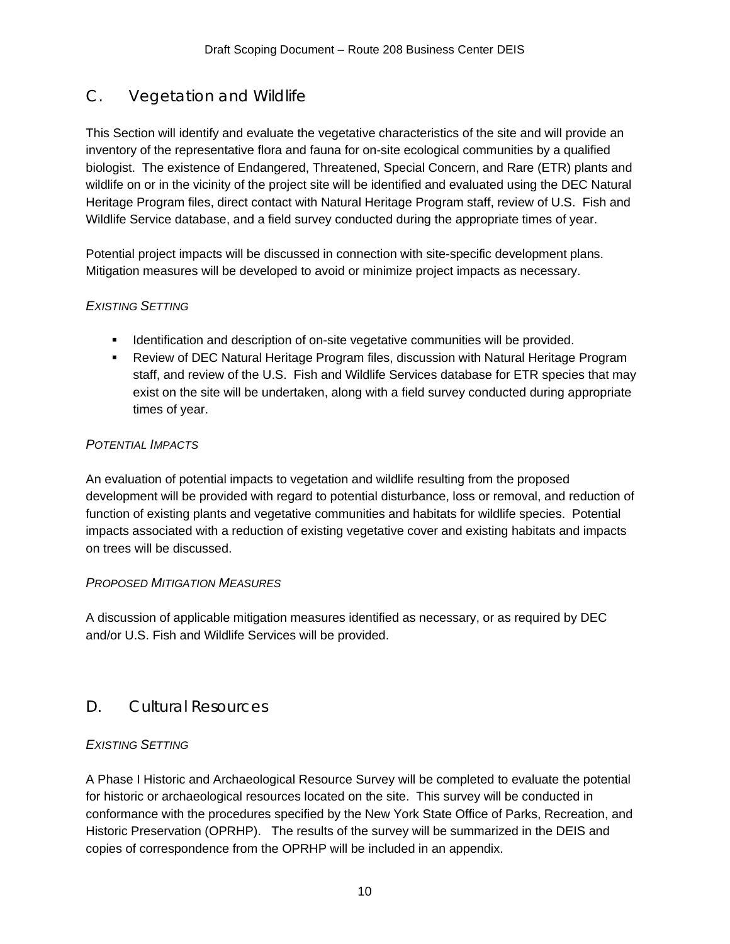# C. Vegetation and Wildlife

This Section will identify and evaluate the vegetative characteristics of the site and will provide an inventory of the representative flora and fauna for on-site ecological communities by a qualified biologist. The existence of Endangered, Threatened, Special Concern, and Rare (ETR) plants and wildlife on or in the vicinity of the project site will be identified and evaluated using the DEC Natural Heritage Program files, direct contact with Natural Heritage Program staff, review of U.S. Fish and Wildlife Service database, and a field survey conducted during the appropriate times of year.

Potential project impacts will be discussed in connection with site-specific development plans. Mitigation measures will be developed to avoid or minimize project impacts as necessary.

#### *EXISTING SETTING*

- **IDENTIFICATION And SET IS A LOCATE VEGETATION COMMUNITIES WILL be provided.**
- Review of DEC Natural Heritage Program files, discussion with Natural Heritage Program staff, and review of the U.S. Fish and Wildlife Services database for ETR species that may exist on the site will be undertaken, along with a field survey conducted during appropriate times of year.

#### *POTENTIAL IMPACTS*

An evaluation of potential impacts to vegetation and wildlife resulting from the proposed development will be provided with regard to potential disturbance, loss or removal, and reduction of function of existing plants and vegetative communities and habitats for wildlife species. Potential impacts associated with a reduction of existing vegetative cover and existing habitats and impacts on trees will be discussed.

#### *PROPOSED MITIGATION MEASURES*

A discussion of applicable mitigation measures identified as necessary, or as required by DEC and/or U.S. Fish and Wildlife Services will be provided.

## D. Cultural Resources

### *EXISTING SETTING*

A Phase I Historic and Archaeological Resource Survey will be completed to evaluate the potential for historic or archaeological resources located on the site. This survey will be conducted in conformance with the procedures specified by the New York State Office of Parks, Recreation, and Historic Preservation (OPRHP). The results of the survey will be summarized in the DEIS and copies of correspondence from the OPRHP will be included in an appendix.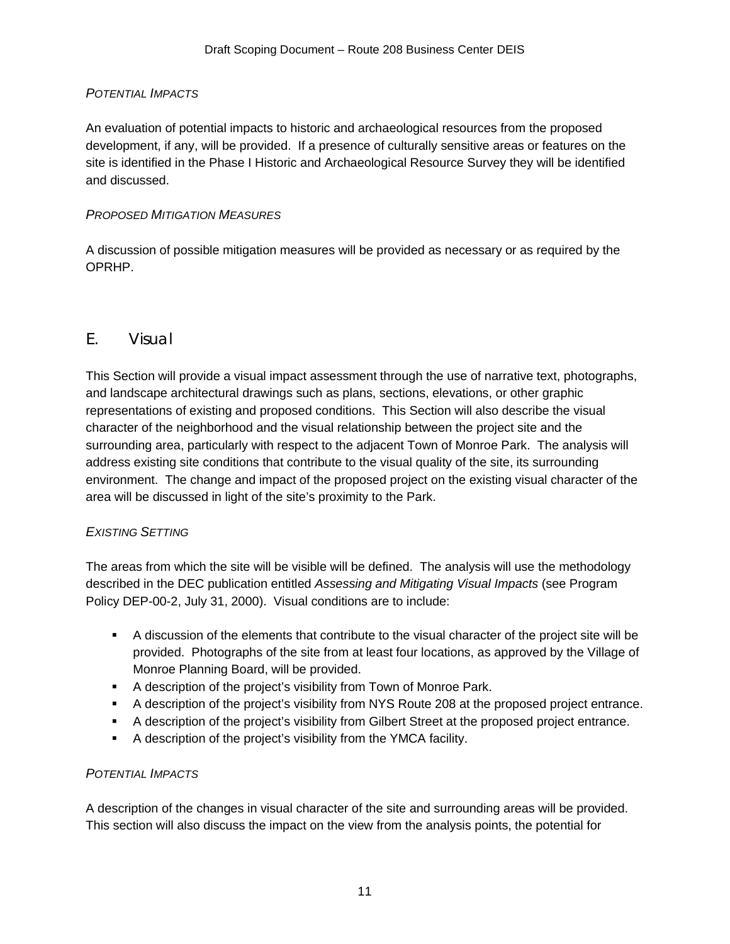#### *POTENTIAL IMPACTS*

An evaluation of potential impacts to historic and archaeological resources from the proposed development, if any, will be provided. If a presence of culturally sensitive areas or features on the site is identified in the Phase I Historic and Archaeological Resource Survey they will be identified and discussed.

#### *PROPOSED MITIGATION MEASURES*

A discussion of possible mitigation measures will be provided as necessary or as required by the OPRHP.

### E. Visual

This Section will provide a visual impact assessment through the use of narrative text, photographs, and landscape architectural drawings such as plans, sections, elevations, or other graphic representations of existing and proposed conditions. This Section will also describe the visual character of the neighborhood and the visual relationship between the project site and the surrounding area, particularly with respect to the adjacent Town of Monroe Park. The analysis will address existing site conditions that contribute to the visual quality of the site, its surrounding environment. The change and impact of the proposed project on the existing visual character of the area will be discussed in light of the site's proximity to the Park.

#### *EXISTING SETTING*

The areas from which the site will be visible will be defined. The analysis will use the methodology described in the DEC publication entitled *Assessing and Mitigating Visual Impacts* (see Program Policy DEP-00-2, July 31, 2000). Visual conditions are to include:

- A discussion of the elements that contribute to the visual character of the project site will be provided. Photographs of the site from at least four locations, as approved by the Village of Monroe Planning Board, will be provided.
- A description of the project's visibility from Town of Monroe Park.
- A description of the project's visibility from NYS Route 208 at the proposed project entrance.
- A description of the project's visibility from Gilbert Street at the proposed project entrance.
- A description of the project's visibility from the YMCA facility.

#### *POTENTIAL IMPACTS*

A description of the changes in visual character of the site and surrounding areas will be provided. This section will also discuss the impact on the view from the analysis points, the potential for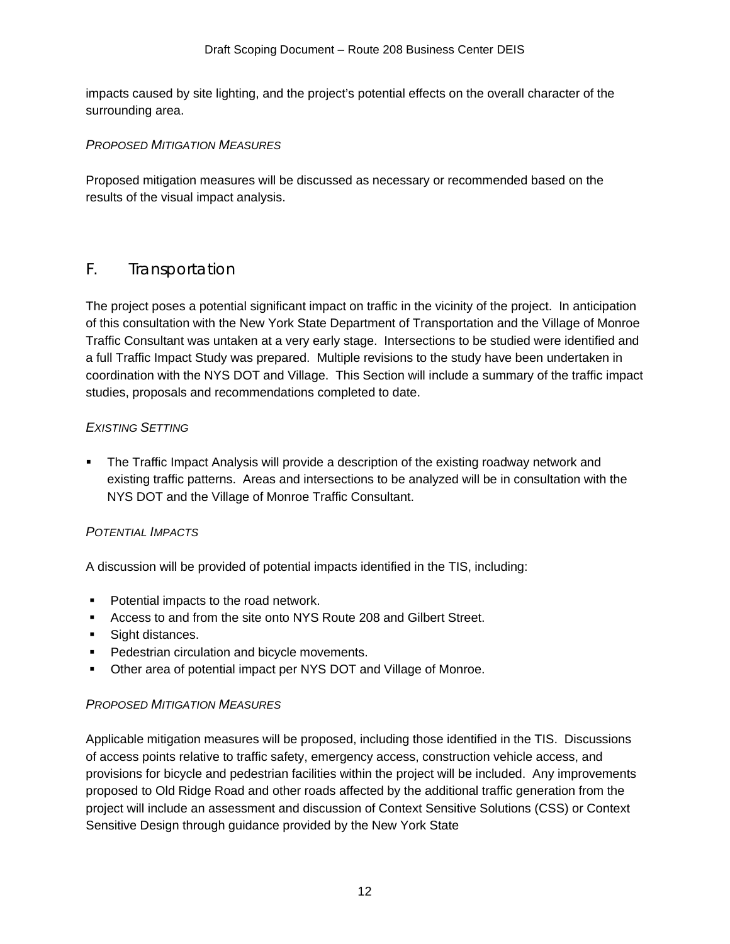impacts caused by site lighting, and the project's potential effects on the overall character of the surrounding area.

#### *PROPOSED MITIGATION MEASURES*

Proposed mitigation measures will be discussed as necessary or recommended based on the results of the visual impact analysis.

## F. Transportation

The project poses a potential significant impact on traffic in the vicinity of the project. In anticipation of this consultation with the New York State Department of Transportation and the Village of Monroe Traffic Consultant was untaken at a very early stage. Intersections to be studied were identified and a full Traffic Impact Study was prepared. Multiple revisions to the study have been undertaken in coordination with the NYS DOT and Village. This Section will include a summary of the traffic impact studies, proposals and recommendations completed to date.

#### *EXISTING SETTING*

 The Traffic Impact Analysis will provide a description of the existing roadway network and existing traffic patterns. Areas and intersections to be analyzed will be in consultation with the NYS DOT and the Village of Monroe Traffic Consultant.

#### *POTENTIAL IMPACTS*

A discussion will be provided of potential impacts identified in the TIS, including:

- Potential impacts to the road network.
- Access to and from the site onto NYS Route 208 and Gilbert Street.
- **Sight distances.**
- **Pedestrian circulation and bicycle movements.**
- Other area of potential impact per NYS DOT and Village of Monroe.

#### *PROPOSED MITIGATION MEASURES*

Applicable mitigation measures will be proposed, including those identified in the TIS. Discussions of access points relative to traffic safety, emergency access, construction vehicle access, and provisions for bicycle and pedestrian facilities within the project will be included. Any improvements proposed to Old Ridge Road and other roads affected by the additional traffic generation from the project will include an assessment and discussion of Context Sensitive Solutions (CSS) or Context Sensitive Design through guidance provided by the New York State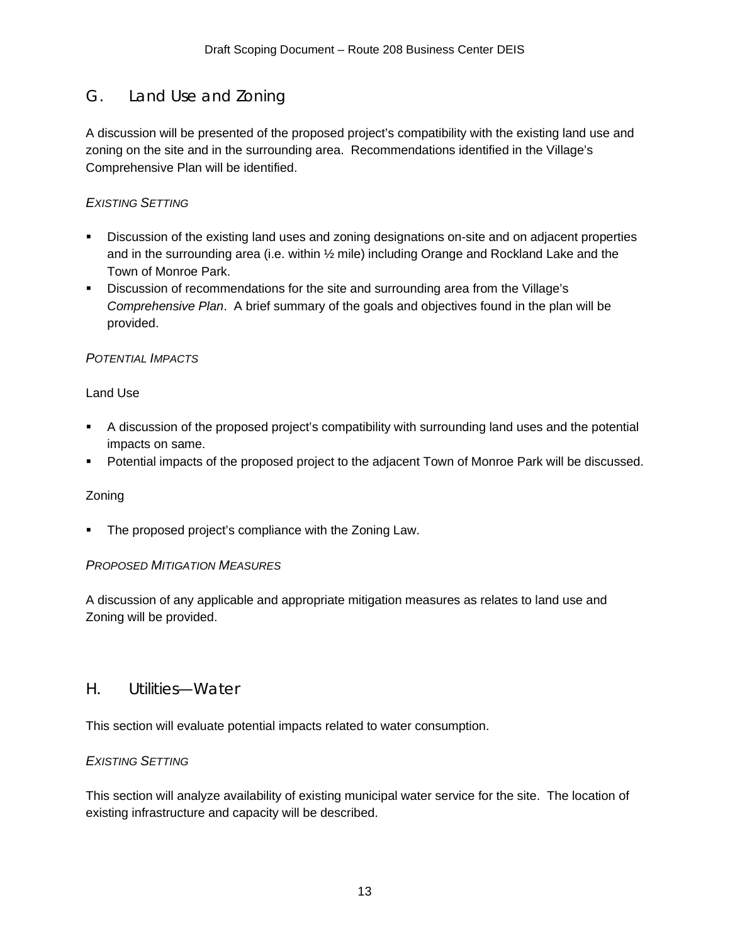# G. Land Use and Zoning

A discussion will be presented of the proposed project's compatibility with the existing land use and zoning on the site and in the surrounding area. Recommendations identified in the Village's Comprehensive Plan will be identified.

#### *EXISTING SETTING*

- Discussion of the existing land uses and zoning designations on-site and on adjacent properties and in the surrounding area (i.e. within ½ mile) including Orange and Rockland Lake and the Town of Monroe Park.
- Discussion of recommendations for the site and surrounding area from the Village's *Comprehensive Plan*. A brief summary of the goals and objectives found in the plan will be provided.

### *POTENTIAL IMPACTS*

#### Land Use

- A discussion of the proposed project's compatibility with surrounding land uses and the potential impacts on same.
- Potential impacts of the proposed project to the adjacent Town of Monroe Park will be discussed.

#### Zoning

The proposed project's compliance with the Zoning Law.

#### *PROPOSED MITIGATION MEASURES*

A discussion of any applicable and appropriate mitigation measures as relates to land use and Zoning will be provided.

## H. Utilities—Water

This section will evaluate potential impacts related to water consumption.

#### *EXISTING SETTING*

This section will analyze availability of existing municipal water service for the site. The location of existing infrastructure and capacity will be described.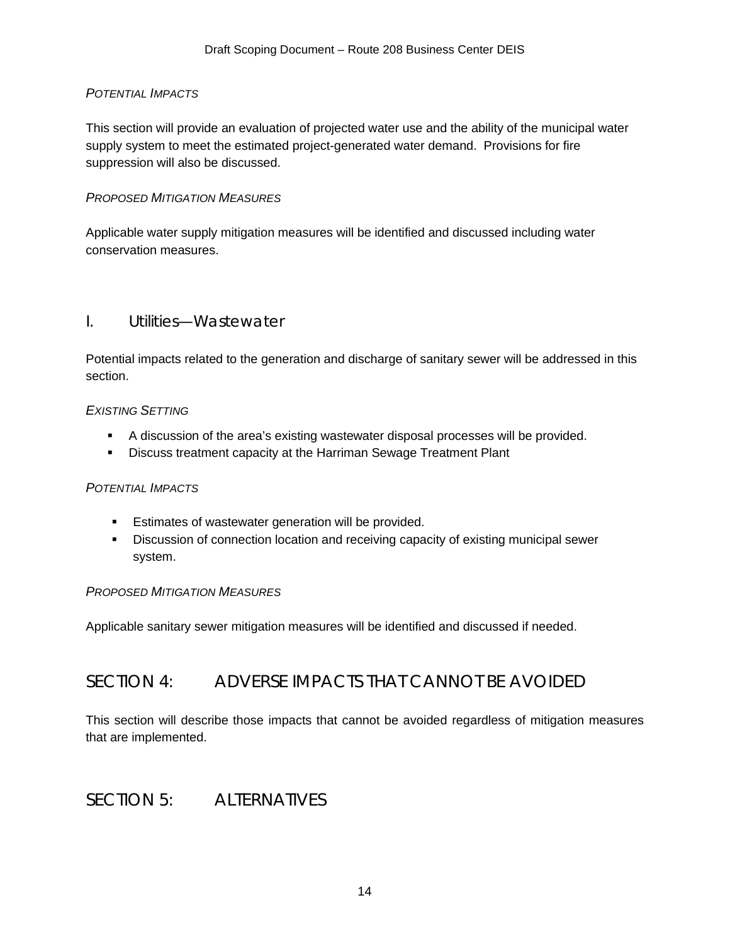#### *POTENTIAL IMPACTS*

This section will provide an evaluation of projected water use and the ability of the municipal water supply system to meet the estimated project-generated water demand. Provisions for fire suppression will also be discussed.

#### *PROPOSED MITIGATION MEASURES*

Applicable water supply mitigation measures will be identified and discussed including water conservation measures.

### I. Utilities—Wastewater

Potential impacts related to the generation and discharge of sanitary sewer will be addressed in this section.

#### *EXISTING SETTING*

- A discussion of the area's existing wastewater disposal processes will be provided.
- **Discuss treatment capacity at the Harriman Sewage Treatment Plant**

#### *POTENTIAL IMPACTS*

- **Estimates of wastewater generation will be provided.**
- **Discussion of connection location and receiving capacity of existing municipal sewer** system.

#### *PROPOSED MITIGATION MEASURES*

Applicable sanitary sewer mitigation measures will be identified and discussed if needed.

## SECTION 4: ADVERSE IMPACTS THAT CANNOT BE AVOIDED

This section will describe those impacts that cannot be avoided regardless of mitigation measures that are implemented.

## SECTION 5: ALTERNATIVES